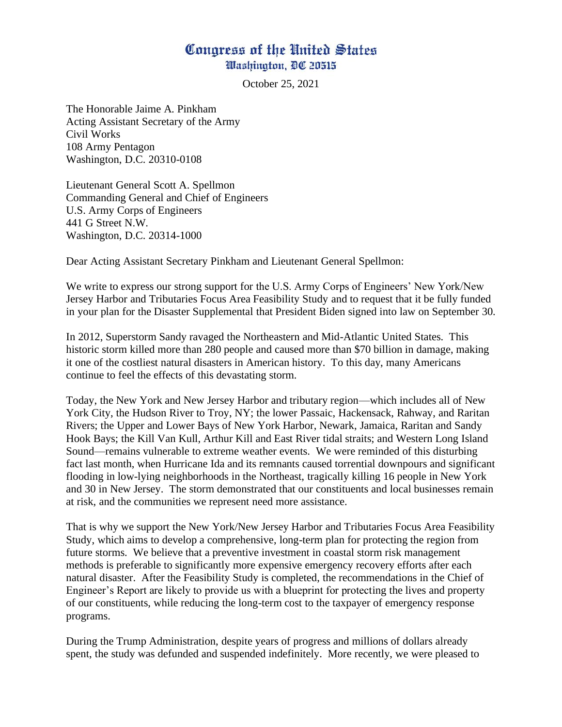## Congress of the United States Washington, DC 20515

October 25, 2021

The Honorable Jaime A. Pinkham Acting Assistant Secretary of the Army Civil Works 108 Army Pentagon Washington, D.C. 20310-0108

Lieutenant General Scott A. Spellmon Commanding General and Chief of Engineers U.S. Army Corps of Engineers 441 G Street N.W. Washington, D.C. 20314-1000

Dear Acting Assistant Secretary Pinkham and Lieutenant General Spellmon:

We write to express our strong support for the U.S. Army Corps of Engineers' New York/New Jersey Harbor and Tributaries Focus Area Feasibility Study and to request that it be fully funded in your plan for the Disaster Supplemental that President Biden signed into law on September 30.

In 2012, Superstorm Sandy ravaged the Northeastern and Mid-Atlantic United States. This historic storm killed more than 280 people and caused more than \$70 billion in damage, making it one of the costliest natural disasters in American history. To this day, many Americans continue to feel the effects of this devastating storm.

Today, the New York and New Jersey Harbor and tributary region—which includes all of New York City, the Hudson River to Troy, NY; the lower Passaic, Hackensack, Rahway, and Raritan Rivers; the Upper and Lower Bays of New York Harbor, Newark, Jamaica, Raritan and Sandy Hook Bays; the Kill Van Kull, Arthur Kill and East River tidal straits; and Western Long Island Sound—remains vulnerable to extreme weather events. We were reminded of this disturbing fact last month, when Hurricane Ida and its remnants caused torrential downpours and significant flooding in low-lying neighborhoods in the Northeast, tragically killing 16 people in New York and 30 in New Jersey. The storm demonstrated that our constituents and local businesses remain at risk, and the communities we represent need more assistance.

That is why we support the New York/New Jersey Harbor and Tributaries Focus Area Feasibility Study, which aims to develop a comprehensive, long-term plan for protecting the region from future storms. We believe that a preventive investment in coastal storm risk management methods is preferable to significantly more expensive emergency recovery efforts after each natural disaster. After the Feasibility Study is completed, the recommendations in the Chief of Engineer's Report are likely to provide us with a blueprint for protecting the lives and property of our constituents, while reducing the long-term cost to the taxpayer of emergency response programs.

During the Trump Administration, despite years of progress and millions of dollars already spent, the study was defunded and suspended indefinitely. More recently, we were pleased to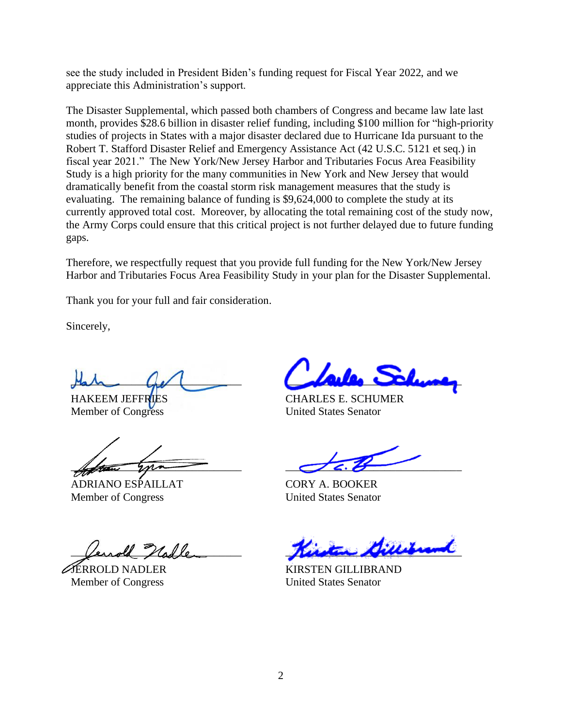see the study included in President Biden's funding request for Fiscal Year 2022, and we appreciate this Administration's support.

The Disaster Supplemental, which passed both chambers of Congress and became law late last month, provides \$28.6 billion in disaster relief funding, including \$100 million for "high-priority studies of projects in States with a major disaster declared due to Hurricane Ida pursuant to the Robert T. Stafford Disaster Relief and Emergency Assistance Act (42 U.S.C. 5121 et seq.) in fiscal year 2021." The New York/New Jersey Harbor and Tributaries Focus Area Feasibility Study is a high priority for the many communities in New York and New Jersey that would dramatically benefit from the coastal storm risk management measures that the study is evaluating. The remaining balance of funding is \$9,624,000 to complete the study at its currently approved total cost. Moreover, by allocating the total remaining cost of the study now, the Army Corps could ensure that this critical project is not further delayed due to future funding gaps.

Therefore, we respectfully request that you provide full funding for the New York/New Jersey Harbor and Tributaries Focus Area Feasibility Study in your plan for the Disaster Supplemental.

Thank you for your full and fair consideration.

Sincerely,

 $\mathcal{A}$ 

HAKEEM JEFFRIES Member of Congress

 $\mu_{\rm{beam}}$  you

ADRIANO ESPAILLAT Member of Congress

Verrold Nalle

JERROLD NADLER Member of Congress

 $L$ 

CHARLES E. SCHUMER United States Senator

 $\sigma$ 6.8

CORY A. BOOKER United States Senator

person personal

KIRSTEN GILLIBRAND United States Senator